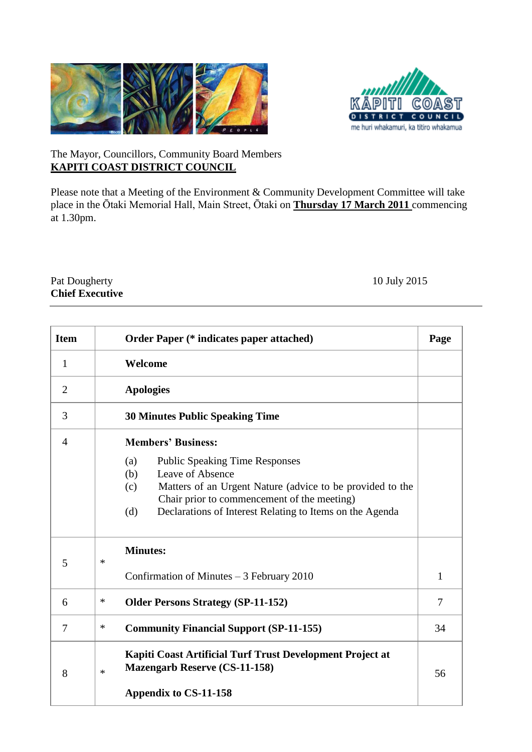



## The Mayor, Councillors, Community Board Members **KAPITI COAST DISTRICT COUNCIL**

Please note that a Meeting of the Environment & Community Development Committee will take place in the Ōtaki Memorial Hall, Main Street, Ōtaki on **Thursday 17 March 2011** commencing at 1.30pm.

## Pat Dougherty 10 July 2015 **Chief Executive**

| <b>Item</b>    | <b>Order Paper (* indicates paper attached)</b>                                                                                                                                                                                                                                            |              |  |  |
|----------------|--------------------------------------------------------------------------------------------------------------------------------------------------------------------------------------------------------------------------------------------------------------------------------------------|--------------|--|--|
| $\mathbf{1}$   | Welcome                                                                                                                                                                                                                                                                                    |              |  |  |
| $\overline{2}$ | <b>Apologies</b>                                                                                                                                                                                                                                                                           |              |  |  |
| 3              | <b>30 Minutes Public Speaking Time</b>                                                                                                                                                                                                                                                     |              |  |  |
| $\overline{4}$ | <b>Members' Business:</b><br><b>Public Speaking Time Responses</b><br>(a)<br>Leave of Absence<br>(b)<br>Matters of an Urgent Nature (advice to be provided to the<br>(c)<br>Chair prior to commencement of the meeting)<br>Declarations of Interest Relating to Items on the Agenda<br>(d) |              |  |  |
| 5              | <b>Minutes:</b><br>∗<br>Confirmation of Minutes $-3$ February 2010                                                                                                                                                                                                                         | $\mathbf{1}$ |  |  |
| 6              | $\ast$<br><b>Older Persons Strategy (SP-11-152)</b>                                                                                                                                                                                                                                        |              |  |  |
| 7              | *<br><b>Community Financial Support (SP-11-155)</b>                                                                                                                                                                                                                                        |              |  |  |
| 8              | Kapiti Coast Artificial Turf Trust Development Project at<br><b>Mazengarb Reserve (CS-11-158)</b><br>$\ast$<br>Appendix to CS-11-158                                                                                                                                                       | 56           |  |  |